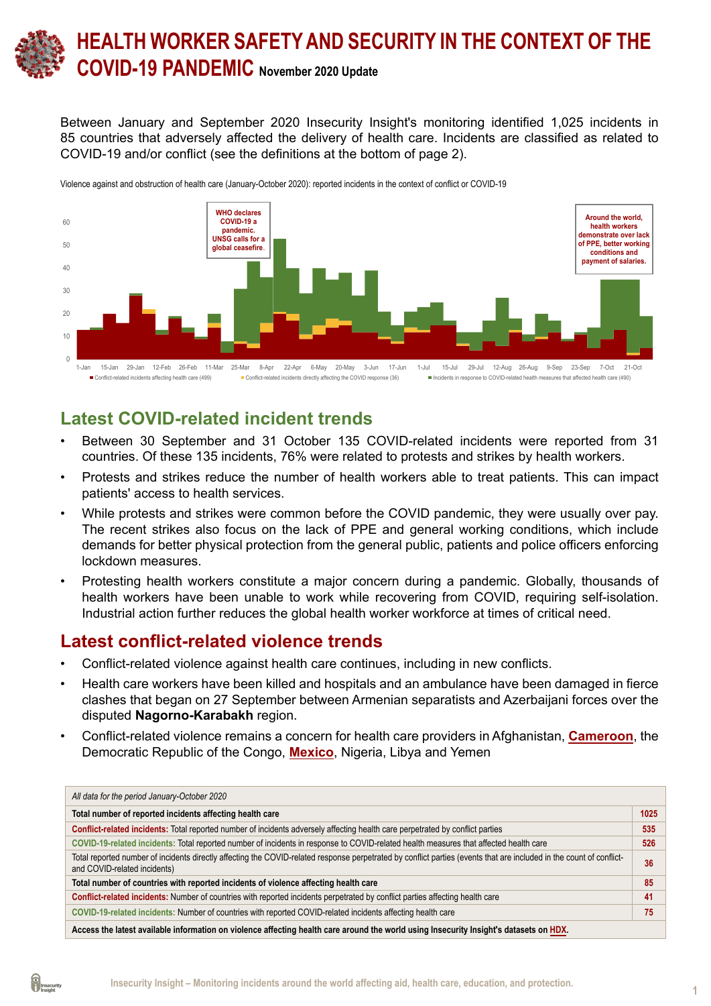# **HEALTH WORKER SAFETY AND SECURITY IN THE CONTEXT OF THE COVID-19 PANDEMIC November 2020 Update**

Between January and September 2020 Insecurity Insight's monitoring identified 1,025 incidents in 85 countries that adversely affected the delivery of health care. Incidents are classified as related to COVID-19 and/or conflict (see the definitions at the bottom of page 2).



Violence against and obstruction of health care (January-October 2020): reported incidents in the context of conflict or COVID-19

### **Latest COVID-related incident trends**

- Between 30 September and 31 October 135 COVID-related incidents were reported from 31 countries. Of these 135 incidents, 76% were related to protests and strikes by health workers.
- Protests and strikes reduce the number of health workers able to treat patients. This can impact patients' access to health services.
- While protests and strikes were common before the COVID pandemic, they were usually over pay. The recent strikes also focus on the lack of PPE and general working conditions, which include demands for better physical protection from the general public, patients and police officers enforcing lockdown measures.
- Protesting health workers constitute a major concern during a pandemic. Globally, thousands of health workers have been unable to work while recovering from COVID, requiring self-isolation. Industrial action further reduces the global health worker workforce at times of critical need.

### **Latest conflict-related violence trends**

- Conflict-related violence against health care continues, including in new conflicts.
- Health care workers have been killed and hospitals and an ambulance have been damaged in fierce clashes that began on 27 September between Armenian separatists and Azerbaijani forces over the disputed **Nagorno-Karabakh** region.
- Conflict-related violence remains a concern for health care providers in Afghanistan, **[Cameroon](https://bit.ly/33lnOWQ)**, the Democratic Republic of the Congo, **[Mexico](https://bit.ly/34cBoLH)**, Nigeria, Libya and Yemen

| All data for the period January-October 2020                                                                                                                                                         |      |  |  |
|------------------------------------------------------------------------------------------------------------------------------------------------------------------------------------------------------|------|--|--|
| Total number of reported incidents affecting health care                                                                                                                                             | 1025 |  |  |
| Conflict-related incidents: Total reported number of incidents adversely affecting health care perpetrated by conflict parties                                                                       | 535  |  |  |
| COVID-19-related incidents: Total reported number of incidents in response to COVID-related health measures that affected health care                                                                |      |  |  |
| Total reported number of incidents directly affecting the COVID-related response perpetrated by conflict parties (events that are included in the count of conflict-<br>and COVID-related incidents) |      |  |  |
| Total number of countries with reported incidents of violence affecting health care                                                                                                                  | 85   |  |  |
| <b>Conflict-related incidents:</b> Number of countries with reported incidents perpetrated by conflict parties affecting health care                                                                 |      |  |  |
| COVID-19-related incidents: Number of countries with reported COVID-related incidents affecting health care                                                                                          | 75   |  |  |
| Access the latest available information on violence affecting health care around the world using Insecurity Insight's datasets on HDX.                                                               |      |  |  |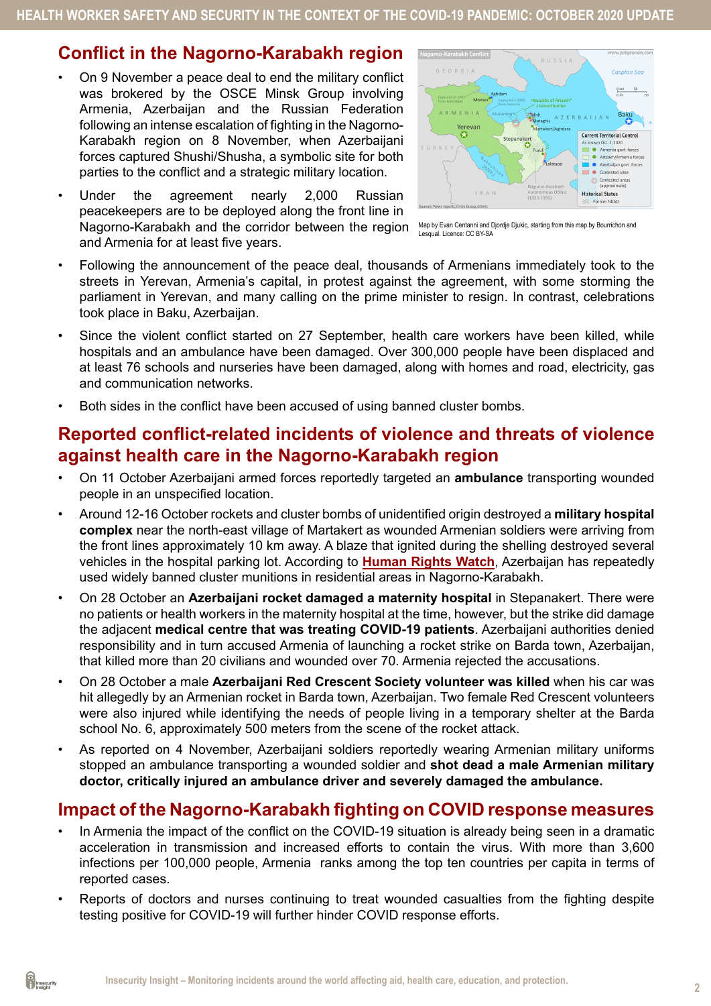# **Conflict in the Nagorno-Karabakh region**

- On 9 November a peace deal to end the military conflict was brokered by the OSCE Minsk Group involving Armenia, Azerbaijan and the Russian Federation following an intense escalation of fighting in the Nagorno-Karabakh region on 8 November, when Azerbaijani forces captured Shushi/Shusha, a symbolic site for both parties to the conflict and a strategic military location.
- Under the agreement nearly 2,000 Russian peacekeepers are to be deployed along the front line in Nagorno-Karabakh and the corridor between the region and Armenia for at least five years.



Map by Evan Centanni and Djordje Djukic, starting from [this map](https://commons.wikimedia.org/wiki/File:AZ-qa-location-en.svg) by Bourrichon and Lesqual. Licence: [CC BY-SA](https://creativecommons.org/licenses/by-sa/3.0/deed.en) 

- Following the announcement of the peace deal, thousands of Armenians immediately took to the streets in Yerevan, Armenia's capital, in protest against the agreement, with some storming the parliament in Yerevan, and many calling on the prime minister to resign. In contrast, celebrations took place in Baku, Azerbaijan.
- Since the violent conflict started on 27 September, health care workers have been killed, while hospitals and an ambulance have been damaged. Over 300,000 people have been displaced and at least 76 schools and nurseries have been damaged, along with homes and road, electricity, gas and communication networks.
- Both sides in the conflict have been accused of using banned cluster bombs.

# **Reported conflict-related incidents of violence and threats of violence against health care in the Nagorno-Karabakh region**

- On 11 October Azerbaijani armed forces reportedly targeted an **ambulance** transporting wounded people in an unspecified location.
- Around 12-16 October rockets and cluster bombs of unidentified origin destroyed a **military hospital complex** near the north-east village of Martakert as wounded Armenian soldiers were arriving from the front lines approximately 10 km away. A blaze that ignited during the shelling destroyed several vehicles in the hospital parking lot. According to **[Human Rights Watch](https://www.hrw.org/news/2020/10/23/azerbaijan-cluster-munitions-used-nagorno-karabakh)**, Azerbaijan has repeatedly used widely banned cluster munitions in residential areas in Nagorno-Karabakh.
- On 28 October an **Azerbaijani rocket damaged a maternity hospital** in Stepanakert. There were no patients or health workers in the maternity hospital at the time, however, but the strike did damage the adjacent **medical centre that was treating COVID-19 patients**. Azerbaijani authorities denied responsibility and in turn accused Armenia of launching a rocket strike on Barda town, Azerbaijan, that killed more than 20 civilians and wounded over 70. Armenia rejected the accusations.
- On 28 October a male **Azerbaijani Red Crescent Society volunteer was killed** when his car was hit allegedly by an Armenian rocket in Barda town, Azerbaijan. Two female Red Crescent volunteers were also injured while identifying the needs of people living in a temporary shelter at the Barda school No. 6, approximately 500 meters from the scene of the rocket attack.
- As reported on 4 November, Azerbaijani soldiers reportedly wearing Armenian military uniforms stopped an ambulance transporting a wounded soldier and **shot dead a male Armenian military doctor, critically injured an ambulance driver and severely damaged the ambulance.**

# **Impact of the Nagorno-Karabakh fighting on COVID response measures**

- In Armenia the impact of the conflict on the COVID-19 situation is already being seen in a dramatic acceleration in transmission and increased efforts to contain the virus. With more than 3,600 infections per 100,000 people, Armenia ranks among the top ten countries per capita in terms of reported cases.
- Reports of doctors and nurses continuing to treat wounded casualties from the fighting despite testing positive for COVID-19 will further hinder COVID response efforts.

<sup>o</sup><br>insecurity